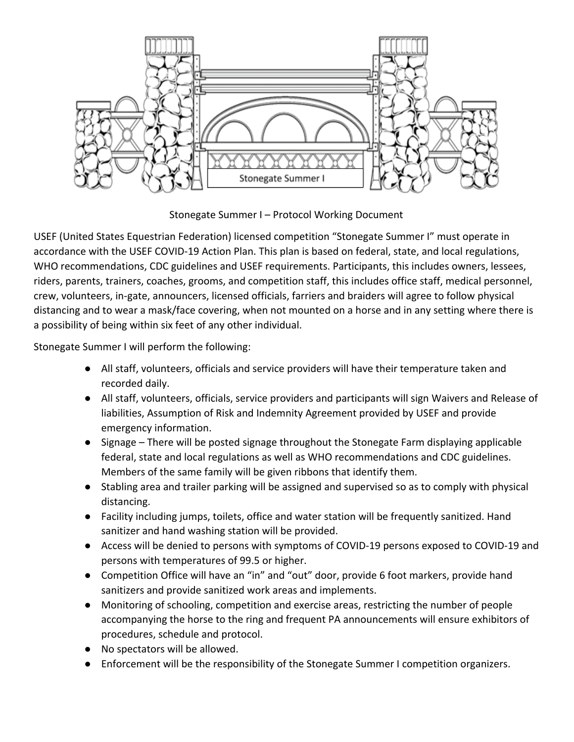

Stonegate Summer I – Protocol Working Document

USEF (United States Equestrian Federation) licensed competition "Stonegate Summer I" must operate in accordance with the USEF COVID-19 Action Plan. This plan is based on federal, state, and local regulations, WHO recommendations, CDC guidelines and USEF requirements. Participants, this includes owners, lessees, riders, parents, trainers, coaches, grooms, and competition staff, this includes office staff, medical personnel, crew, volunteers, in-gate, announcers, licensed officials, farriers and braiders will agree to follow physical distancing and to wear a mask/face covering, when not mounted on a horse and in any setting where there is a possibility of being within six feet of any other individual.

Stonegate Summer I will perform the following:

- All staff, volunteers, officials and service providers will have their temperature taken and recorded daily.
- All staff, volunteers, officials, service providers and participants will sign Waivers and Release of liabilities, Assumption of Risk and Indemnity Agreement provided by USEF and provide emergency information.
- Signage There will be posted signage throughout the Stonegate Farm displaying applicable federal, state and local regulations as well as WHO recommendations and CDC guidelines. Members of the same family will be given ribbons that identify them.
- Stabling area and trailer parking will be assigned and supervised so as to comply with physical distancing.
- Facility including jumps, toilets, office and water station will be frequently sanitized. Hand sanitizer and hand washing station will be provided.
- Access will be denied to persons with symptoms of COVID-19 persons exposed to COVID-19 and persons with temperatures of 99.5 or higher.
- Competition Office will have an "in" and "out" door, provide 6 foot markers, provide hand sanitizers and provide sanitized work areas and implements.
- Monitoring of schooling, competition and exercise areas, restricting the number of people accompanying the horse to the ring and frequent PA announcements will ensure exhibitors of procedures, schedule and protocol.
- No spectators will be allowed.
- Enforcement will be the responsibility of the Stonegate Summer I competition organizers.